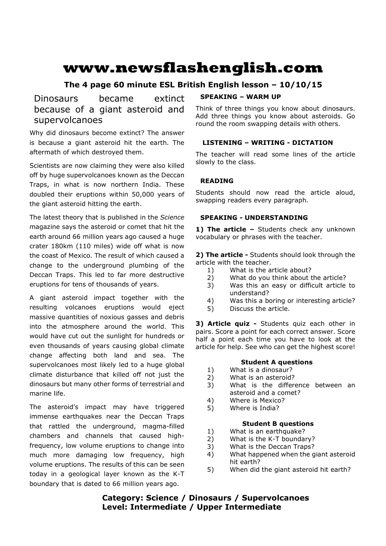# **www.newsflashenglish.com**

# **The 4 page 60 minute ESL British English lesson – 10/10/15**

Dinosaurs became extinct because of a giant asteroid and supervolcanoes

Why did dinosaurs become extinct? The answer is because a giant asteroid hit the earth. The aftermath of which destroyed them.

Scientists are now claiming they were also killed off by huge supervolcanoes known as the Deccan Traps, in what is now northern India. These doubled their eruptions within 50,000 years of the giant asteroid hitting the earth.

The latest theory that is published in the *Science* magazine says the asteroid or comet that hit the earth around 66 million years ago caused a huge crater 180km (110 miles) wide off what is now the coast of Mexico. The result of which caused a change to the underground plumbing of the Deccan Traps. This led to far more destructive eruptions for tens of thousands of years.

A giant asteroid impact together with the resulting volcanoes eruptions would eject massive quantities of noxious gasses and debris into the atmosphere around the world. This would have cut out the sunlight for hundreds or even thousands of years causing global climate change affecting both land and sea. The supervolcanoes most likely led to a huge global climate disturbance that killed off not just the dinosaurs but many other forms of terrestrial and marine life.

The asteroid's impact may have triggered immense earthquakes near the Deccan Traps that rattled the underground, magma-filled chambers and channels that caused highfrequency, low volume eruptions to change into much more damaging low frequency, high volume eruptions. The results of this can be seen today in a geological layer known as the K-T boundary that is dated to 66 million years ago.

# **SPEAKING – WARM UP**

Think of three things you know about dinosaurs. Add three things you know about asteroids. Go round the room swapping details with others.

# **LISTENING – WRITING - DICTATION**

The teacher will read some lines of the article slowly to the class.

# **READING**

Students should now read the article aloud, swapping readers every paragraph.

# **SPEAKING - UNDERSTANDING**

1) The article - Students check any unknown vocabulary or phrases with the teacher.

**2) The article -** Students should look through the article with the teacher.

- 1) What is the article about?
- 2) What do you think about the article?
- 3) Was this an easy or difficult article to understand?
- 4) Was this a boring or interesting article?
- 5) Discuss the article.

**3) Article quiz -** Students quiz each other in pairs. Score a point for each correct answer. Score half a point each time you have to look at the article for help. See who can get the highest score!

# **Student A questions**

- 1) What is a dinosaur?
- 2) What is an asteroid?
- 3) What is the difference between an asteroid and a comet?
- 4) Where is Mexico?
- 5) Where is India?

#### **Student B questions**

- 1) What is an earthquake?
- 2) What is the K-T boundary?
- 3) What is the Deccan Traps?
- 4) What happened when the giant asteroid hit earth?
- 5) When did the giant asteroid hit earth?

# **Category: Science / Dinosaurs / Supervolcanoes Level: Intermediate / Upper Intermediate**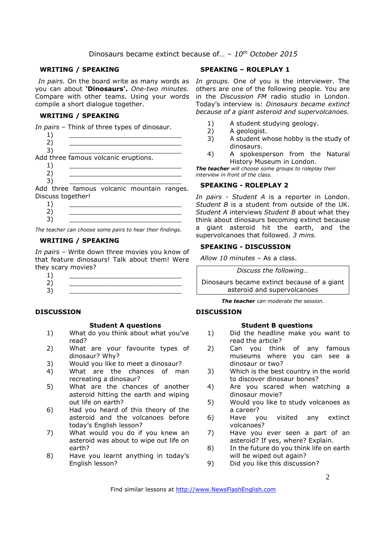#### **WRITING / SPEAKING**

you can about **'Dinosaurs'.** *One-two minutes.*  Compare with other teams. Using your words compile a short dialogue together.

#### **WRITING / SPEAKING**

*In pairs* – Think of three types of dinosaur.

| 2)                                       |  |  |
|------------------------------------------|--|--|
| 3)                                       |  |  |
| Add three famous volcanic eruptions.     |  |  |
|                                          |  |  |
| 2)                                       |  |  |
| 3)                                       |  |  |
| Add three famous volcanic mountain range |  |  |

Add three famous volcanic mountain ranges. Discuss together!

| -<br>◢ |  |
|--------|--|
| ∽      |  |
| ۰      |  |

*The teacher can choose some pairs to hear their findings.*

#### **WRITING / SPEAKING**

*In pairs* – Write down three movies you know of that feature dinosaurs! Talk about them! Were they scary movies?

#### **DISCUSSION**

#### **Student A questions**

- 1) What do you think about what you've read?
- 2) What are your favourite types of dinosaur? Why?
- 3) Would you like to meet a dinosaur?
- 4) What are the chances of man recreating a dinosaur?
- 5) What are the chances of another asteroid hitting the earth and wiping out life on earth?
- 6) Had you heard of this theory of the asteroid and the volcanoes before today's English lesson?
- 7) What would you do if you knew an asteroid was about to wipe out life on earth?
- 8) Have you learnt anything in today's English lesson?

# **SPEAKING – ROLEPLAY 1**

In pairs. On the board write as many words as In groups. One of you is the interviewer. The others are one of the following people. You are in the *Discussion FM* radio studio in London. Today's interview is: *Dinosaurs became extinct because of a giant asteroid and supervolcanoes.* 

- 1) A student studying geology.
- 2) A geologist.
- 3) A student whose hobby is the study of dinosaurs.
- 4) A spokesperson from the Natural History Museum in London.

*The teacher will choose some groups to roleplay their interview in front of the class.* 

#### **SPEAKING - ROLEPLAY 2**

*In pairs - Student A* is a reporter in London. *Student B* is a student from outside of the UK. *Student A* interviews *Student B* about what they think about dinosaurs becoming extinct because a giant asteroid hit the earth, and the supervolcanoes that followed. *3 mins.* 

### **SPEAKING - DISCUSSION**

*Allow 10 minutes* – As a class.

*Discuss the following…* 

Dinosaurs became extinct because of a giant asteroid and supervolcanoes

*The teacher can moderate the session.*

# **DISCUSSION**

#### **Student B questions**

- 1) Did the headline make you want to read the article?
- 2) Can you think of any famous museums where you can see a dinosaur or two?
- 3) Which is the best country in the world to discover dinosaur bones?
- 4) Are you scared when watching a dinosaur movie?
- 5) Would you like to study volcanoes as a career?<br>Have you
- 6) Have you visited any extinct volcanoes?
- 7) Have you ever seen a part of an asteroid? If yes, where? Explain.
- 8) In the future do you think life on earth will be wiped out again?
- 9) Did you like this discussion?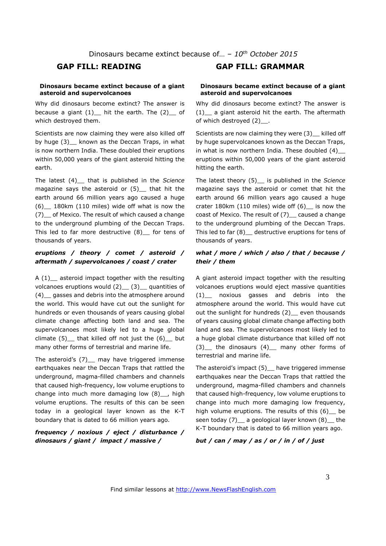#### **Dinosaurs became extinct because of a giant asteroid and supervolcanoes**

Why did dinosaurs become extinct? The answer is because a giant  $(1)$  hit the earth. The  $(2)$  of which destroyed them.

Scientists are now claiming they were also killed off by huge (3) known as the Deccan Traps, in what is now northern India. These doubled their eruptions within 50,000 years of the giant asteroid hitting the earth.

The latest (4)\_\_ that is published in the *Science* magazine says the asteroid or (5) that hit the earth around 66 million years ago caused a huge (6)\_\_ 180km (110 miles) wide off what is now the (7)\_\_ of Mexico. The result of which caused a change to the underground plumbing of the Deccan Traps. This led to far more destructive  $(8)$  for tens of thousands of years.

# *eruptions / theory / comet / asteroid / aftermath / supervolcanoes / coast / crater*

A  $(1)$  asteroid impact together with the resulting volcanoes eruptions would  $(2)$   $(3)$  quantities of (4) gasses and debris into the atmosphere around the world. This would have cut out the sunlight for hundreds or even thousands of years causing global climate change affecting both land and sea. The supervolcanoes most likely led to a huge global climate  $(5)$  that killed off not just the  $(6)$  but many other forms of terrestrial and marine life.

The asteroid's (7) may have triggered immense earthquakes near the Deccan Traps that rattled the underground, magma-filled chambers and channels that caused high-frequency, low volume eruptions to change into much more damaging low (8)\_\_, high volume eruptions. The results of this can be seen today in a geological layer known as the K-T boundary that is dated to 66 million years ago.

# *frequency / noxious / eject / disturbance / dinosaurs / giant / impact / massive /*

# **GAP FILL: READING GAP FILL: GRAMMAR**

#### **Dinosaurs became extinct because of a giant asteroid and supervolcanoes**

Why did dinosaurs become extinct? The answer is (1)\_\_ a giant asteroid hit the earth. The aftermath of which destroyed (2)\_\_.

Scientists are now claiming they were (3) killed off by huge supervolcanoes known as the Deccan Traps, in what is now northern India. These doubled (4)\_\_ eruptions within 50,000 years of the giant asteroid hitting the earth.

The latest theory (5)\_\_ is published in the *Science* magazine says the asteroid or comet that hit the earth around 66 million years ago caused a huge crater 180km (110 miles) wide off (6)\_\_ is now the coast of Mexico. The result of (7)\_ caused a change to the underground plumbing of the Deccan Traps. This led to far (8) destructive eruptions for tens of thousands of years.

# *what / more / which / also / that / because / their / them*

A giant asteroid impact together with the resulting volcanoes eruptions would eject massive quantities (1)\_\_ noxious gasses and debris into the atmosphere around the world. This would have cut out the sunlight for hundreds (2)\_ even thousands of years causing global climate change affecting both land and sea. The supervolcanoes most likely led to a huge global climate disturbance that killed off not (3)\_\_ the dinosaurs (4)\_\_ many other forms of terrestrial and marine life.

The asteroid's impact (5)\_\_ have triggered immense earthquakes near the Deccan Traps that rattled the underground, magma-filled chambers and channels that caused high-frequency, low volume eruptions to change into much more damaging low frequency, high volume eruptions. The results of this (6) be seen today (7) a geological layer known (8) the K-T boundary that is dated to 66 million years ago.

*but / can / may / as / or / in / of / just*